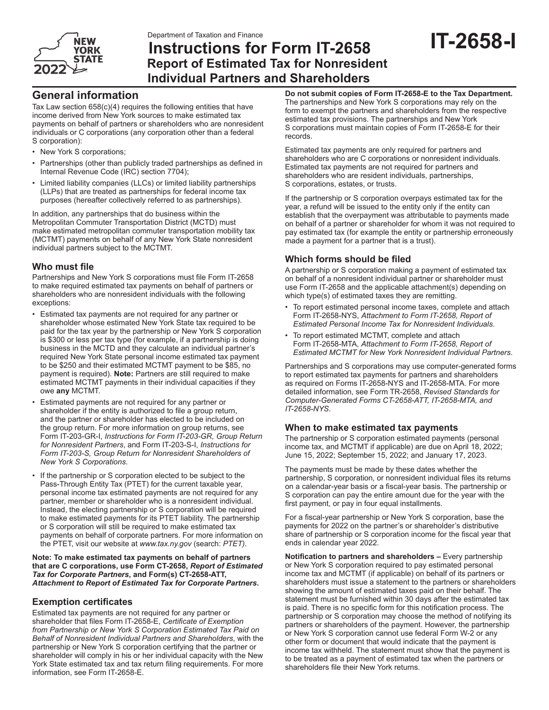

## **Instructions for Form IT-2658 Report of Estimated Tax for Nonresident Individual Partners and Shareholders**

# **IT-2658-I**

## **General information**

Tax Law section 658(c)(4) requires the following entities that have income derived from New York sources to make estimated tax payments on behalf of partners or shareholders who are nonresident individuals or C corporations (any corporation other than a federal S corporation):

- New York S corporations;
- Partnerships (other than publicly traded partnerships as defined in Internal Revenue Code (IRC) section 7704);
- Limited liability companies (LLCs) or limited liability partnerships (LLPs) that are treated as partnerships for federal income tax purposes (hereafter collectively referred to as partnerships).

In addition, any partnerships that do business within the Metropolitan Commuter Transportation District (MCTD) must make estimated metropolitan commuter transportation mobility tax (MCTMT) payments on behalf of any New York State nonresident individual partners subject to the MCTMT.

## **Who must file**

Partnerships and New York S corporations must file Form IT-2658 to make required estimated tax payments on behalf of partners or shareholders who are nonresident individuals with the following exceptions:

- Estimated tax payments are not required for any partner or shareholder whose estimated New York State tax required to be paid for the tax year by the partnership or New York S corporation is \$300 or less per tax type (for example, if a partnership is doing business in the MCTD and they calculate an individual partner's required New York State personal income estimated tax payment to be \$250 and their estimated MCTMT payment to be \$85, no payment is required). **Note:** Partners are still required to make estimated MCTMT payments in their individual capacities if they owe **any** MCTMT.
- Estimated payments are not required for any partner or shareholder if the entity is authorized to file a group return, and the partner or shareholder has elected to be included on the group return. For more information on group returns, see Form IT-203-GR-I, *Instructions for Form IT‑203-GR, Group Return for Nonresident Partners*, and Form IT-203-S-I, *Instructions for Form IT-203-S, Group Return for Nonresident Shareholders of New York S Corporations*.
- If the partnership or S corporation elected to be subject to the Pass-Through Entity Tax (PTET) for the current taxable year, personal income tax estimated payments are not required for any partner, member or shareholder who is a nonresident individual. Instead, the electing partnership or S corporation will be required to make estimated payments for its PTET liability. The partnership or S corporation will still be required to make estimated tax payments on behalf of corporate partners. For more information on the PTET, visit our website at *www.tax.ny.gov* (search: *PTET)*.

#### **Note: To make estimated tax payments on behalf of partners that are C corporations, use Form CT-2658,** *Report of Estimated Tax for Corporate Partners***, and Form(s) CT-2658-ATT,**  *Attachment to Report of Estimated Tax for Corporate Partners***.**

## **Exemption certificates**

Estimated tax payments are not required for any partner or shareholder that files Form IT-2658-E, *Certificate of Exemption from Partnership or New York S Corporation Estimated Tax Paid on Behalf of Nonresident Individual Partners and Shareholders*, with the partnership or New York S corporation certifying that the partner or shareholder will comply in his or her individual capacity with the New York State estimated tax and tax return filing requirements. For more information, see Form IT-2658-E.

**Do not submit copies of Form IT-2658-E to the Tax Department.** The partnerships and New York S corporations may rely on the form to exempt the partners and shareholders from the respective estimated tax provisions. The partnerships and New York S corporations must maintain copies of Form IT-2658-E for their records.

Estimated tax payments are only required for partners and shareholders who are C corporations or nonresident individuals. Estimated tax payments are not required for partners and shareholders who are resident individuals, partnerships, S corporations, estates, or trusts.

If the partnership or S corporation overpays estimated tax for the year, a refund will be issued to the entity only if the entity can establish that the overpayment was attributable to payments made on behalf of a partner or shareholder for whom it was not required to pay estimated tax (for example the entity or partnership erroneously made a payment for a partner that is a trust).

## **Which forms should be filed**

A partnership or S corporation making a payment of estimated tax on behalf of a nonresident individual partner or shareholder must use Form IT-2658 and the applicable attachment(s) depending on which type(s) of estimated taxes they are remitting.

- To report estimated personal income taxes, complete and attach Form IT-2658-NYS, *Attachment to Form IT-2658, Report of Estimated Personal Income Tax for Nonresident Individuals*.
- To report estimated MCTMT, complete and attach Form IT-2658-MTA, *Attachment to Form IT-2658, Report of Estimated MCTMT for New York Nonresident Individual Partners*.

Partnerships and S corporations may use computer-generated forms to report estimated tax payments for partners and shareholders as required on Forms IT-2658-NYS and IT-2658-MTA. For more detailed information, see Form TR-2658, *Revised Standards for Computer-Generated Forms CT-2658-ATT, IT-2658-MTA, and IT-2658-NYS*.

## **When to make estimated tax payments**

The partnership or S corporation estimated payments (personal income tax, and MCTMT if applicable) are due on April 18, 2022; June 15, 2022; September 15, 2022; and January 17, 2023.

The payments must be made by these dates whether the partnership, S corporation, or nonresident individual files its returns on a calendar‑year basis or a fiscal‑year basis. The partnership or S corporation can pay the entire amount due for the year with the first payment, or pay in four equal installments.

For a fiscal-year partnership or New York S corporation, base the payments for 2022 on the partner's or shareholder's distributive share of partnership or S corporation income for the fiscal year that ends in calendar year 2022.

**Notification to partners and shareholders –** Every partnership or New York S corporation required to pay estimated personal income tax and MCTMT (if applicable) on behalf of its partners or shareholders must issue a statement to the partners or shareholders showing the amount of estimated taxes paid on their behalf. The statement must be furnished within 30 days after the estimated tax is paid. There is no specific form for this notification process. The partnership or S corporation may choose the method of notifying its partners or shareholders of the payment. However, the partnership or New York S corporation cannot use federal Form W-2 or any other form or document that would indicate that the payment is income tax withheld. The statement must show that the payment is to be treated as a payment of estimated tax when the partners or shareholders file their New York returns.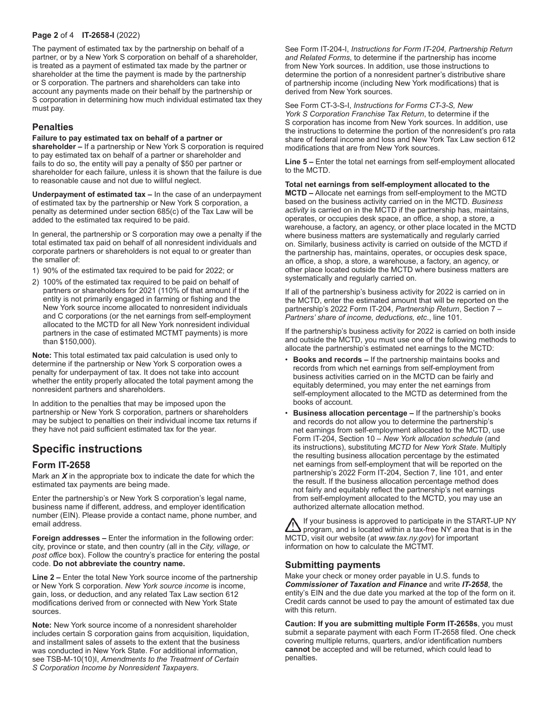### **Page 2** of 4 **IT-2658-I** (2022)

The payment of estimated tax by the partnership on behalf of a partner, or by a New York S corporation on behalf of a shareholder, is treated as a payment of estimated tax made by the partner or shareholder at the time the payment is made by the partnership or S corporation. The partners and shareholders can take into account any payments made on their behalf by the partnership or S corporation in determining how much individual estimated tax they must pay.

## **Penalties**

**Failure to pay estimated tax on behalf of a partner or** 

**shareholder –** If a partnership or New York S corporation is required to pay estimated tax on behalf of a partner or shareholder and fails to do so, the entity will pay a penalty of \$50 per partner or shareholder for each failure, unless it is shown that the failure is due to reasonable cause and not due to willful neglect.

**Underpayment of estimated tax –** In the case of an underpayment of estimated tax by the partnership or New York S corporation, a penalty as determined under section 685(c) of the Tax Law will be added to the estimated tax required to be paid.

In general, the partnership or S corporation may owe a penalty if the total estimated tax paid on behalf of all nonresident individuals and corporate partners or shareholders is not equal to or greater than the smaller of:

- 1) 90% of the estimated tax required to be paid for 2022; or
- 2) 100% of the estimated tax required to be paid on behalf of partners or shareholders for 2021 (110% of that amount if the entity is not primarily engaged in farming or fishing and the New York source income allocated to nonresident individuals and C corporations (or the net earnings from self-employment allocated to the MCTD for all New York nonresident individual partners in the case of estimated MCTMT payments) is more than \$150,000).

**Note:** This total estimated tax paid calculation is used only to determine if the partnership or New York S corporation owes a penalty for underpayment of tax. It does not take into account whether the entity properly allocated the total payment among the nonresident partners and shareholders.

In addition to the penalties that may be imposed upon the partnership or New York S corporation, partners or shareholders may be subject to penalties on their individual income tax returns if they have not paid sufficient estimated tax for the year.

## **Specific instructions**

## **Form IT-2658**

Mark an *X* in the appropriate box to indicate the date for which the estimated tax payments are being made.

Enter the partnership's or New York S corporation's legal name, business name if different, address, and employer identification number (EIN). Please provide a contact name, phone number, and email address.

**Foreign addresses –** Enter the information in the following order: city, province or state, and then country (all in the *City, village, or post office* box). Follow the country's practice for entering the postal code. **Do not abbreviate the country name.**

**Line 2 –** Enter the total New York source income of the partnership or New York S corporation. *New York source income* is income, gain, loss, or deduction, and any related Tax Law section 612 modifications derived from or connected with New York State sources.

**Note:** New York source income of a nonresident shareholder includes certain S corporation gains from acquisition, liquidation, and installment sales of assets to the extent that the business was conducted in New York State. For additional information, see TSB-M-10(10)I, *Amendments to the Treatment of Certain S Corporation Income by Nonresident Taxpayers*.

See Form IT-204-I, *Instructions for Form IT-204, Partnership Return and Related Forms*, to determine if the partnership has income from New York sources. In addition, use those instructions to determine the portion of a nonresident partner's distributive share of partnership income (including New York modifications) that is derived from New York sources.

See Form CT-3-S-I, *Instructions for Forms CT-3-S, New York S Corporation Franchise Tax Return*, to determine if the S corporation has income from New York sources. In addition, use the instructions to determine the portion of the nonresident's pro rata share of federal income and loss and New York Tax Law section 612 modifications that are from New York sources.

**Line 5 –** Enter the total net earnings from self-employment allocated to the MCTD.

**Total net earnings from self-employment allocated to the MCTD –** Allocate net earnings from self-employment to the MCTD based on the business activity carried on in the MCTD. *Business activity* is carried on in the MCTD if the partnership has, maintains, operates, or occupies desk space, an office, a shop, a store, a warehouse, a factory, an agency, or other place located in the MCTD where business matters are systematically and regularly carried on. Similarly, business activity is carried on outside of the MCTD if the partnership has, maintains, operates, or occupies desk space, an office, a shop, a store, a warehouse, a factory, an agency, or other place located outside the MCTD where business matters are systematically and regularly carried on.

If all of the partnership's business activity for 2022 is carried on in the MCTD, enter the estimated amount that will be reported on the partnership's 2022 Form IT-204, *Partnership Return*, Section 7 – *Partners' share of income, deductions, etc*., line 101.

If the partnership's business activity for 2022 is carried on both inside and outside the MCTD, you must use one of the following methods to allocate the partnership's estimated net earnings to the MCTD:

- **Books and records –** If the partnership maintains books and records from which net earnings from self-employment from business activities carried on in the MCTD can be fairly and equitably determined, you may enter the net earnings from self-employment allocated to the MCTD as determined from the books of account.
- **Business allocation percentage –** If the partnership's books and records do not allow you to determine the partnership's net earnings from self-employment allocated to the MCTD, use Form IT-204, Section 10 – *New York allocation schedule* (and its instructions), substituting *MCTD* for *New York State*. Multiply the resulting business allocation percentage by the estimated net earnings from self-employment that will be reported on the partnership's 2022 Form IT-204, Section 7, line 101, and enter the result. If the business allocation percentage method does not fairly and equitably reflect the partnership's net earnings from self-employment allocated to the MCTD, you may use an authorized alternate allocation method.

If your business is approved to participate in the START-UP NY  $\sum_{n=1}^{\infty}$  program, and is located within a tax-free NY area that is in the MCTD, visit our website (at *www.tax.ny.gov*) for important information on how to calculate the MCTMT.

## **Submitting payments**

Make your check or money order payable in U.S. funds to *Commissioner of Taxation and Finance* and write *IT-2658*, the entity's EIN and the due date you marked at the top of the form on it. Credit cards cannot be used to pay the amount of estimated tax due with this return.

**Caution: If you are submitting multiple Form IT-2658s**, you must submit a separate payment with each Form IT-2658 filed. One check covering multiple returns, quarters, and/or identification numbers **cannot** be accepted and will be returned, which could lead to penalties.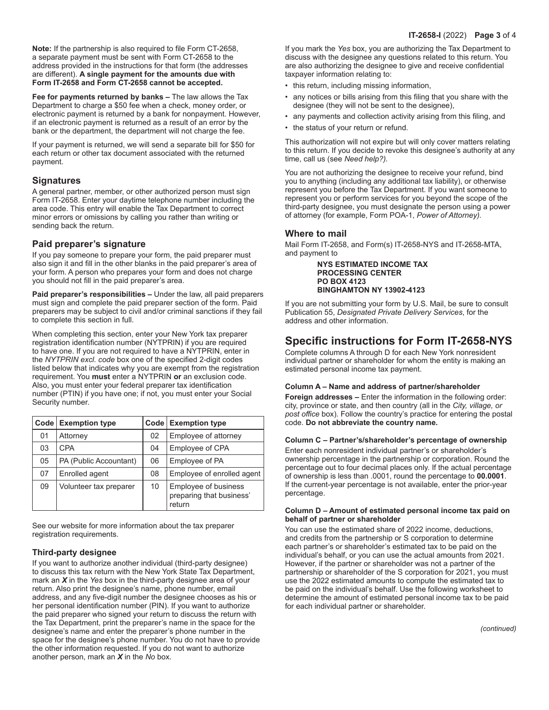**Note:** If the partnership is also required to file Form CT-2658, a separate payment must be sent with Form CT-2658 to the address provided in the instructions for that form (the addresses are different). **A single payment for the amounts due with Form IT-2658 and Form CT-2658 cannot be accepted.**

**Fee for payments returned by banks –** The law allows the Tax Department to charge a \$50 fee when a check, money order, or electronic payment is returned by a bank for nonpayment. However, if an electronic payment is returned as a result of an error by the bank or the department, the department will not charge the fee.

If your payment is returned, we will send a separate bill for \$50 for each return or other tax document associated with the returned payment.

## **Signatures**

A general partner, member, or other authorized person must sign Form IT-2658. Enter your daytime telephone number including the area code. This entry will enable the Tax Department to correct minor errors or omissions by calling you rather than writing or sending back the return.

## **Paid preparer's signature**

If you pay someone to prepare your form, the paid preparer must also sign it and fill in the other blanks in the paid preparer's area of your form. A person who prepares your form and does not charge you should not fill in the paid preparer's area.

**Paid preparer's responsibilities –** Under the law, all paid preparers must sign and complete the paid preparer section of the form. Paid preparers may be subject to civil and/or criminal sanctions if they fail to complete this section in full.

When completing this section, enter your New York tax preparer registration identification number (NYTPRIN) if you are required to have one. If you are not required to have a NYTPRIN, enter in the *NYTPRIN excl. code* box one of the specified 2-digit codes listed below that indicates why you are exempt from the registration requirement. You **must** enter a NYTPRIN **or** an exclusion code. Also, you must enter your federal preparer tax identification number (PTIN) if you have one; if not, you must enter your Social Security number.

| Code | <b>Exemption type</b>  |    | Code Exemption type                                        |
|------|------------------------|----|------------------------------------------------------------|
| 01   | Attorney               | 02 | Employee of attorney                                       |
| 03   | <b>CPA</b>             | 04 | Employee of CPA                                            |
| 05   | PA (Public Accountant) | 06 | Employee of PA                                             |
| 07   | Enrolled agent         | 08 | Employee of enrolled agent                                 |
| 09   | Volunteer tax preparer | 10 | Employee of business<br>preparing that business'<br>return |

See our website for more information about the tax preparer registration requirements.

## **Third-party designee**

If you want to authorize another individual (third-party designee) to discuss this tax return with the New York State Tax Department, mark an *X* in the *Yes* box in the third-party designee area of your return. Also print the designee's name, phone number, email address, and any five-digit number the designee chooses as his or her personal identification number (PIN). If you want to authorize the paid preparer who signed your return to discuss the return with the Tax Department, print the preparer's name in the space for the designee's name and enter the preparer's phone number in the space for the designee's phone number. You do not have to provide the other information requested. If you do not want to authorize another person, mark an *X* in the *No* box.

If you mark the *Yes* box, you are authorizing the Tax Department to discuss with the designee any questions related to this return. You are also authorizing the designee to give and receive confidential taxpayer information relating to:

- this return, including missing information,
- any notices or bills arising from this filing that you share with the designee (they will not be sent to the designee),
- any payments and collection activity arising from this filing, and
- the status of your return or refund.

This authorization will not expire but will only cover matters relating to this return. If you decide to revoke this designee's authority at any time, call us (see *Need help?).*

You are not authorizing the designee to receive your refund, bind you to anything (including any additional tax liability), or otherwise represent you before the Tax Department. If you want someone to represent you or perform services for you beyond the scope of the third-party designee, you must designate the person using a power of attorney (for example, Form POA-1, *Power of Attorney).*

## **Where to mail**

Mail Form IT-2658, and Form(s) IT-2658-NYS and IT-2658-MTA, and payment to

> **NYS ESTIMATED INCOME TAX PROCESSING CENTER PO BOX 4123 BINGHAMTON NY 13902-4123**

If you are not submitting your form by U.S. Mail, be sure to consult Publication 55, *Designated Private Delivery Services*, for the address and other information.

## **Specific instructions for Form IT-2658-NYS**

Complete columns A through D for each New York nonresident individual partner or shareholder for whom the entity is making an estimated personal income tax payment.

### **Column A – Name and address of partner/shareholder**

**Foreign addresses –** Enter the information in the following order: city, province or state, and then country (all in the *City, village, or post office* box). Follow the country's practice for entering the postal code. **Do not abbreviate the country name.**

### **Column C – Partner's/shareholder's percentage of ownership**

Enter each nonresident individual partner's or shareholder's ownership percentage in the partnership or corporation. Round the percentage out to four decimal places only. If the actual percentage of ownership is less than .0001, round the percentage to **00.0001**. If the current-year percentage is not available, enter the prior-year percentage.

#### **Column D – Amount of estimated personal income tax paid on behalf of partner or shareholder**

You can use the estimated share of 2022 income, deductions, and credits from the partnership or S corporation to determine each partner's or shareholder's estimated tax to be paid on the individual's behalf, or you can use the actual amounts from 2021. However, if the partner or shareholder was not a partner of the partnership or shareholder of the S corporation for 2021, you must use the 2022 estimated amounts to compute the estimated tax to be paid on the individual's behalf. Use the following worksheet to determine the amount of estimated personal income tax to be paid for each individual partner or shareholder.

*(continued)*